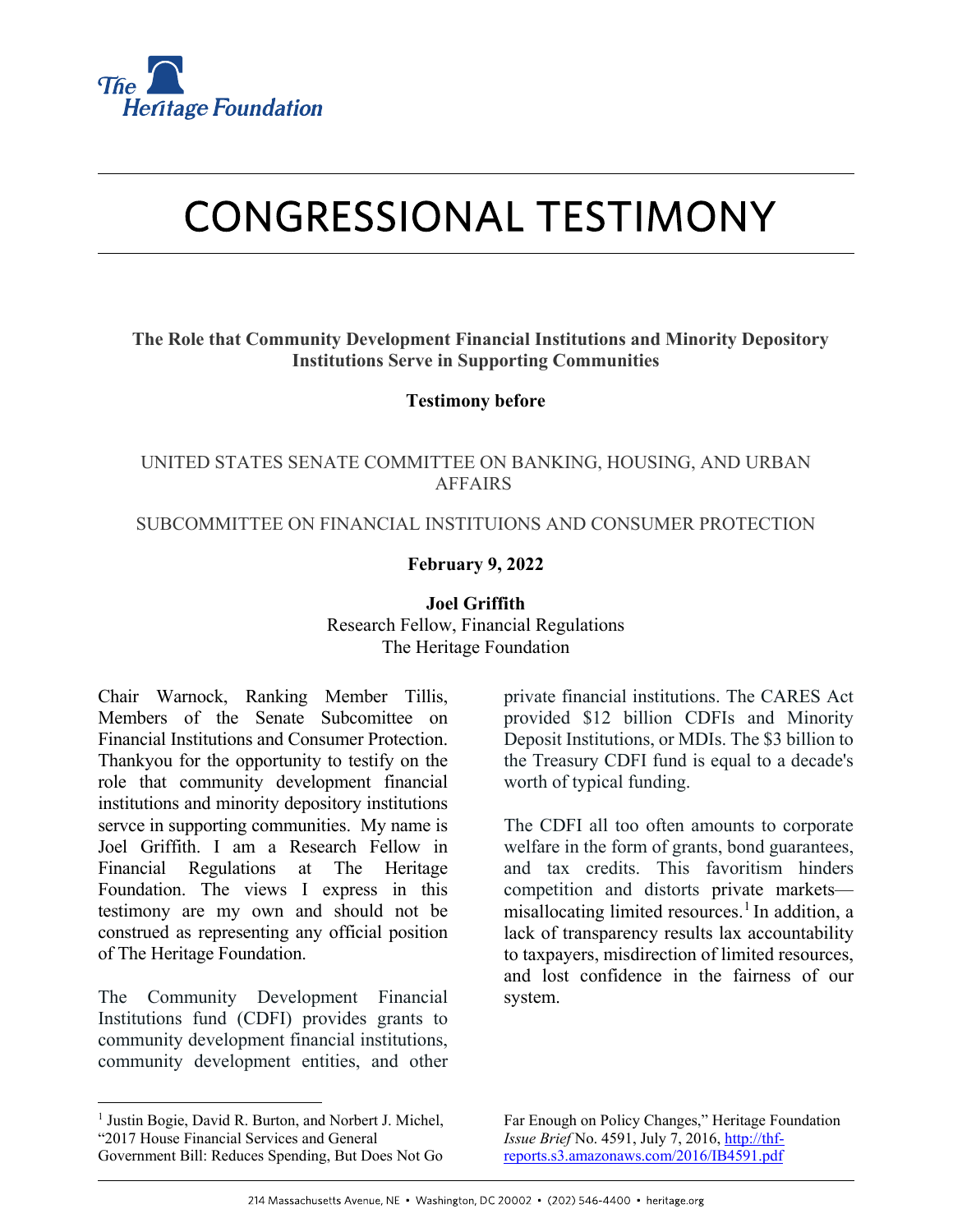

# **CONGRESSIONAL TESTIMONY**

## **The Role that Community Development Financial Institutions and Minority Depository Institutions Serve in Supporting Communities**

### **Testimony before**

## UNITED STATES SENATE COMMITTEE ON BANKING, HOUSING, AND URBAN AFFAIRS

### SUBCOMMITTEE ON FINANCIAL INSTITUIONS AND CONSUMER PROTECTION

## **February 9, 2022**

#### **Joel Griffith**

Research Fellow, Financial Regulations The Heritage Foundation

Chair Warnock, Ranking Member Tillis, Members of the Senate Subcomittee on Financial Institutions and Consumer Protection. Thankyou for the opportunity to testify on the role that community development financial institutions and minority depository institutions servce in supporting communities. My name is Joel Griffith. I am a Research Fellow in Financial Regulations at The Heritage Foundation. The views I express in this testimony are my own and should not be construed as representing any official position of The Heritage Foundation.

The Community Development Financial Institutions fund (CDFI) provides grants to community development financial institutions, community development entities, and other

<span id="page-0-0"></span><sup>1</sup> Justin Bogie, David R. Burton, and Norbert J. Michel, "2017 House Financial Services and General Government Bill: Reduces Spending, But Does Not Go

private financial institutions. The CARES Act provided \$12 billion CDFIs and Minority Deposit Institutions, or MDIs. The \$3 billion to the Treasury CDFI fund is equal to a decade's worth of typical funding.

The CDFI all too often amounts to corporate welfare in the form of grants, bond guarantees, and tax credits. This favoritism hinders competition and distorts private markets misallocating limited resources. [1](#page-0-0) In addition, a lack of transparency results lax accountability to taxpayers, misdirection of limited resources, and lost confidence in the fairness of our system.

Far Enough on Policy Changes," Heritage Foundation *Issue Brief* No. 4591, July 7, 2016[, http://thf](http://thf-reports.s3.amazonaws.com/2016/IB4591.pdf)[reports.s3.amazonaws.com/2016/IB4591.pdf](http://thf-reports.s3.amazonaws.com/2016/IB4591.pdf)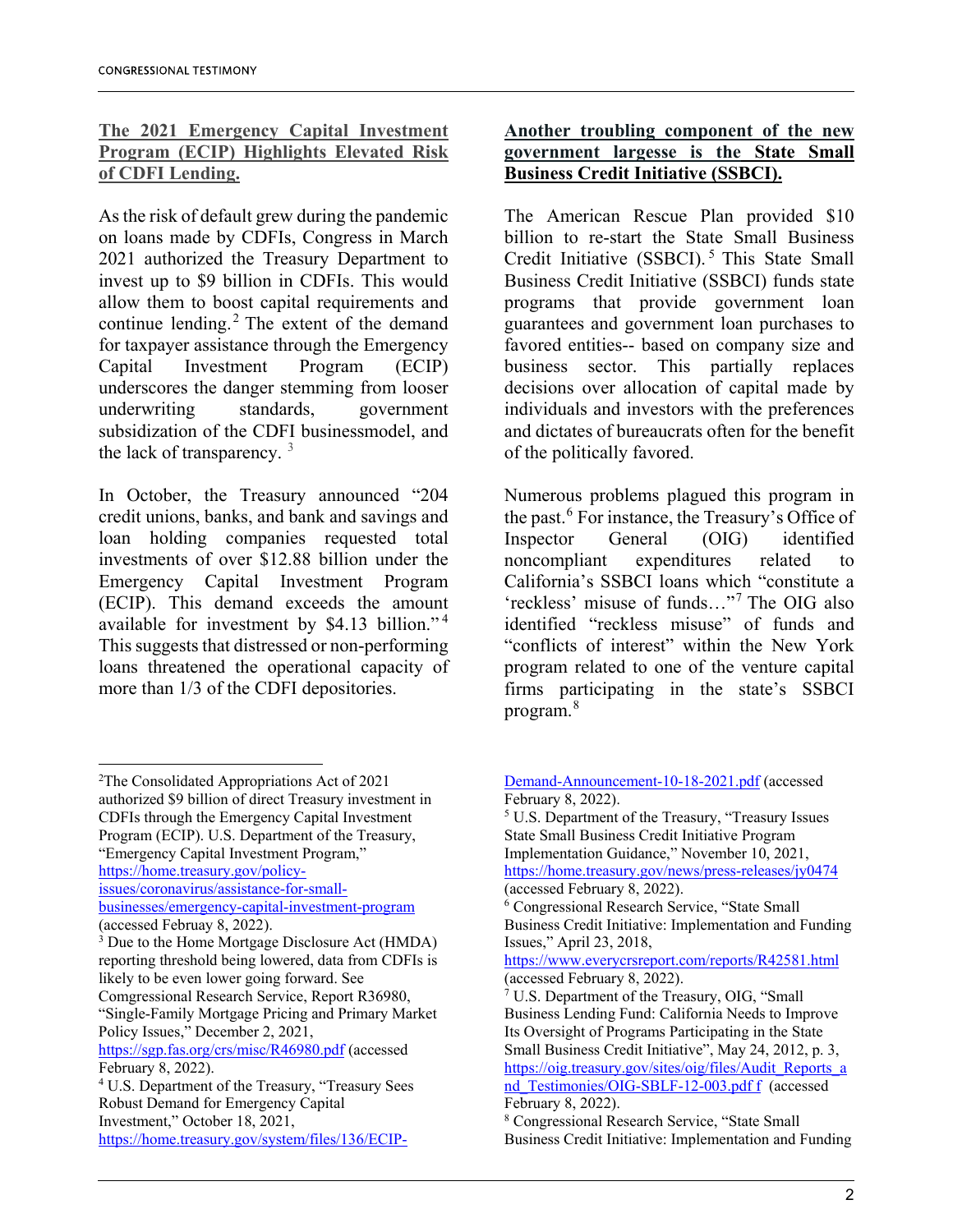# **The 2021 Emergency Capital Investment Program (ECIP) Highlights Elevated Risk of CDFI Lending.**

As the risk of default grew during the pandemic on loans made by CDFIs, Congress in March 2021 authorized the Treasury Department to invest up to \$9 billion in CDFIs. This would allow them to boost capital requirements and continue lending.<sup>[2](#page-1-0)</sup> The extent of the demand for taxpayer assistance through the Emergency Capital Investment Program (ECIP) underscores the danger stemming from looser underwriting standards, government subsidization of the CDFI businessmodel, and the lack of transparency.  $3$ 

In October, the Treasury announced "204 credit unions, banks, and bank and savings and loan holding companies requested total investments of over \$12.88 billion under the Emergency Capital Investment Program (ECIP). This demand exceeds the amount available for investment by \$4.13 billion." [4](#page-1-2) This suggests that distressed or non-performing loans threatened the operational capacity of more than 1/3 of the CDFI depositories.

## **Another troubling component of the new government largesse is the State Small Business Credit Initiative (SSBCI).**

The American Rescue Plan provided \$10 billion to re-start the State Small Business Credit Initiative (SSBCI).<sup>[5](#page-1-3)</sup> This State Small Business Credit Initiative (SSBCI) funds state programs that provide government loan guarantees and government loan purchases to favored entities-- based on company size and business sector. This partially replaces decisions over allocation of capital made by individuals and investors with the preferences and dictates of bureaucrats often for the benefit of the politically favored.

Numerous problems plagued this program in the past.[6](#page-1-4) For instance, the Treasury's Office of Inspector General (OIG) identified noncompliant expenditures related to California's SSBCI loans which "constitute a 'reckless' misuse of funds…"[7](#page-1-5) The OIG also identified "reckless misuse" of funds and "conflicts of interest" within the New York program related to one of the venture capital firms participating in the state's SSBCI program.[8](#page-1-6)

<span id="page-1-4"></span>[businesses/emergency-capital-investment-program](https://home.treasury.gov/policy-issues/coronavirus/assistance-for-small-businesses/emergency-capital-investment-program)  (accessed Februay 8, 2022).

<span id="page-1-5"></span>Comgressional Research Service, Report R36980, "Single-Family Mortgage Pricing and Primary Market Policy Issues," December 2, 2021,

<span id="page-1-3"></span><span id="page-1-0"></span> $\frac{1}{2}$ <sup>2</sup>The Consolidated Appropriations Act of 2021 authorized \$9 billion of direct Treasury investment in CDFIs through the Emergency Capital Investment Program (ECIP). U.S. Department of the Treasury, "Emergency Capital Investment Program," [https://home.treasury.gov/policy](https://home.treasury.gov/policy-issues/coronavirus/assistance-for-small-businesses/emergency-capital-investment-program)[issues/coronavirus/assistance-for-small-](https://home.treasury.gov/policy-issues/coronavirus/assistance-for-small-businesses/emergency-capital-investment-program)

<span id="page-1-1"></span><sup>&</sup>lt;sup>3</sup> Due to the Home Mortgage Disclosure Act (HMDA) reporting threshold being lowered, data from CDFIs is likely to be even lower going forward. See

<https://sgp.fas.org/crs/misc/R46980.pdf> (accessed February 8, 2022).

<span id="page-1-6"></span><span id="page-1-2"></span><sup>4</sup> U.S. Department of the Treasury, "Treasury Sees Robust Demand for Emergency Capital Investment," October 18, 2021, [https://home.treasury.gov/system/files/136/ECIP-](https://home.treasury.gov/system/files/136/ECIP-Demand-Announcement-10-18-2021.pdf)

[Demand-Announcement-10-18-2021.pdf](https://home.treasury.gov/system/files/136/ECIP-Demand-Announcement-10-18-2021.pdf) (accessed February 8, 2022).

<sup>5</sup> U.S. Department of the Treasury, "Treasury Issues State Small Business Credit Initiative Program Implementation Guidance," November 10, 2021, <https://home.treasury.gov/news/press-releases/jy0474> (accessed February 8, 2022).

<sup>6</sup> Congressional Research Service, "State Small Business Credit Initiative: Implementation and Funding Issues," April 23, 2018,

<https://www.everycrsreport.com/reports/R42581.html> (accessed February 8, 2022).

 $7 \text{ U.S. Department of the Treasury, OIG, "Small"$ Business Lending Fund: California Needs to Improve Its Oversight of Programs Participating in the State Small Business Credit Initiative", May 24, 2012, p. 3, [https://oig.treasury.gov/sites/oig/files/Audit\\_Reports\\_a](https://oig.treasury.gov/sites/oig/files/Audit_Reports_a%20nd_Testimonies/OIG-SBLF-12-003.pdf) [nd\\_Testimonies/OIG-SBLF-12-003.pdf](https://oig.treasury.gov/sites/oig/files/Audit_Reports_a%20nd_Testimonies/OIG-SBLF-12-003.pdf) f (accessed February 8, 2022).

<sup>8</sup> Congressional Research Service, "State Small Business Credit Initiative: Implementation and Funding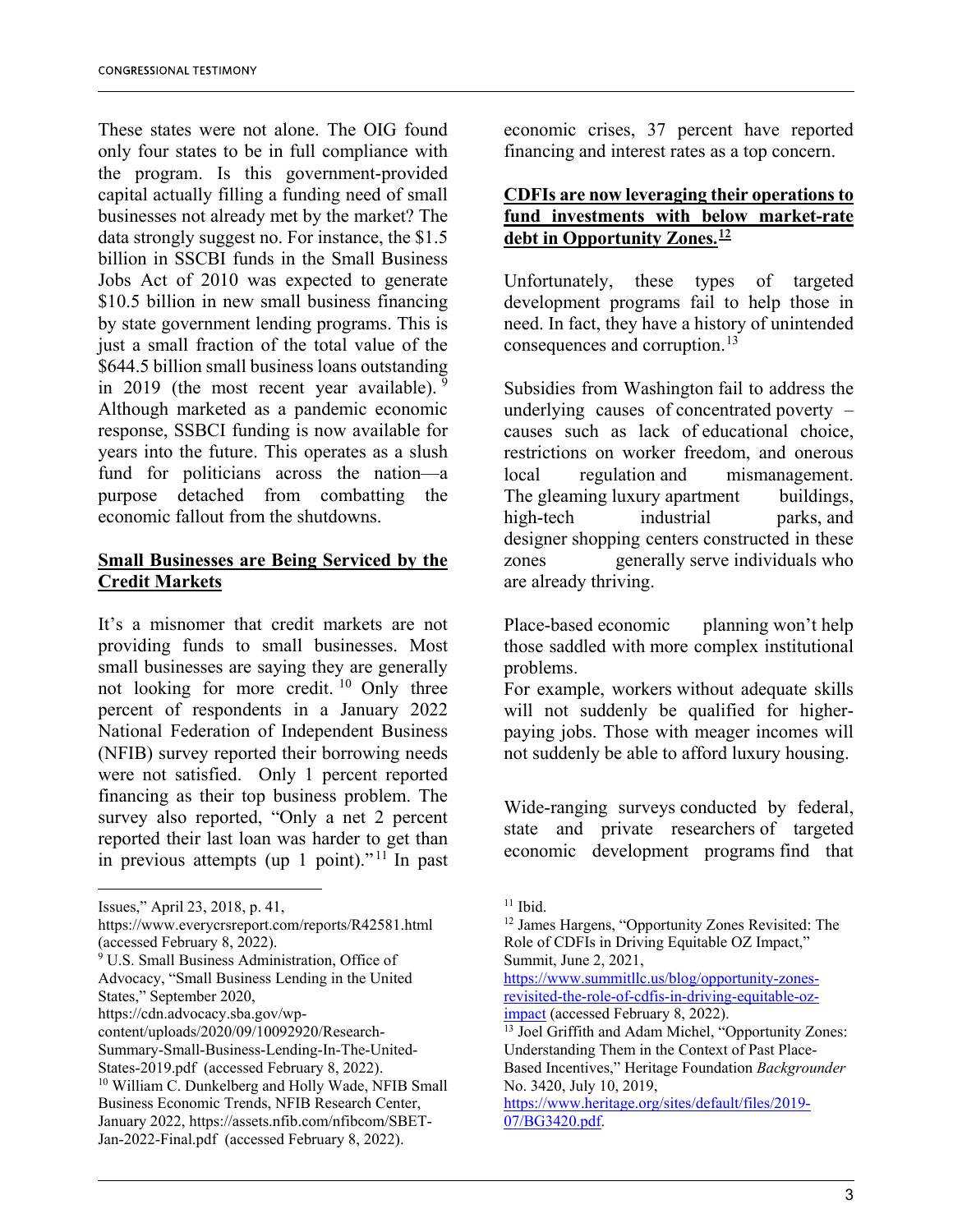These states were not alone. The OIG found only four states to be in full compliance with the program. Is this government-provided capital actually filling a funding need of small businesses not already met by the market? The data strongly suggest no. For instance, the \$1.5 billion in SSCBI funds in the Small Business Jobs Act of 2010 was expected to generate \$10.5 billion in new small business financing by state government lending programs. This is just a small fraction of the total value of the \$644.5 billion small business loans outstanding in 201[9](#page-2-0) (the most recent year available).  $9$ Although marketed as a pandemic economic response, SSBCI funding is now available for years into the future. This operates as a slush fund for politicians across the nation—a purpose detached from combatting the economic fallout from the shutdowns.

# **Small Businesses are Being Serviced by the Credit Markets**

It's a misnomer that credit markets are not providing funds to small businesses. Most small businesses are saying they are generally not looking for more credit. [10](#page-2-1) Only three percent of respondents in a January 2022 National Federation of Independent Business (NFIB) survey reported their borrowing needs were not satisfied. Only 1 percent reported financing as their top business problem. The survey also reported, "Only a net 2 percent reported their last loan was harder to get than in previous attempts (up 1 point)."<sup>[11](#page-2-2)</sup> In past

economic crises, 37 percent have reported financing and interest rates as a top concern.

## **CDFIs are now leveraging their operations to fund investments with below market-rate debt in Opportunity Zones. [12](#page-2-3)**

Unfortunately, these types of targeted development programs fail to help those in need. In fact, they have a history of unintended consequences and corruption.<sup>[13](#page-2-4)</sup>

Subsidies from Washington fail to address the underlying causes of concentrated poverty – causes such as lack of educational choice, restrictions on worker freedom, and onerous local regulation and mismanagement. The gleaming luxury apartment buildings, high-tech industrial parks, and designer shopping centers constructed in these zones generally serve individuals who are already thriving.

Place-based economic planning won't help those saddled with more complex institutional problems.

For example, workers without adequate skills will not suddenly be qualified for higherpaying jobs. Those with meager incomes will not suddenly be able to afford luxury housing.

Wide-ranging surveys conducted by federal, state and private researchers of targeted economic development programs find that

<span id="page-2-2"></span>Issues," April 23, 2018, p. 41,

<span id="page-2-3"></span>https://www.everycrsreport.com/reports/R42581.html (accessed February 8, 2022).

<span id="page-2-0"></span><sup>&</sup>lt;sup>9</sup> U.S. Small Business Administration, Office of Advocacy, "Small Business Lending in the United States," September 2020,

https://cdn.advocacy.sba.gov/wp-

content/uploads/2020/09/10092920/Research-

<span id="page-2-4"></span>Summary-Small-Business-Lending-In-The-United-States-2019.pdf (accessed February 8, 2022).<br><sup>10</sup> William C. Dunkelberg and Holly Wade, NFIB Small

<span id="page-2-1"></span>Business Economic Trends, NFIB Research Center, January 2022, https://assets.nfib.com/nfibcom/SBET-Jan-2022-Final.pdf (accessed February 8, 2022).

<sup>&</sup>lt;sup>11</sup> Ibid.<br><sup>12</sup> James Hargens, "Opportunity Zones Revisited: The Role of CDFIs in Driving Equitable OZ Impact," Summit, June 2, 2021,

[https://www.summitllc.us/blog/opportunity-zones](https://www.summitllc.us/blog/opportunity-zones-revisited-the-role-of-cdfis-in-driving-equitable-oz-impact)revisited-the-role-of-cdfis-in-driving-equitable-oz-<br>impact (accessed February 8, 2022).

 $13$  Joel Griffith and Adam Michel, "Opportunity Zones: Understanding Them in the Context of Past Place-Based Incentives," Heritage Foundation *Backgrounder* No. 3420, July 10, 2019,

[https://www.heritage.org/sites/default/files/2019-](https://www.heritage.org/sites/default/files/2019-07/BG3420.pdf) [07/BG3420.pdf.](https://www.heritage.org/sites/default/files/2019-07/BG3420.pdf)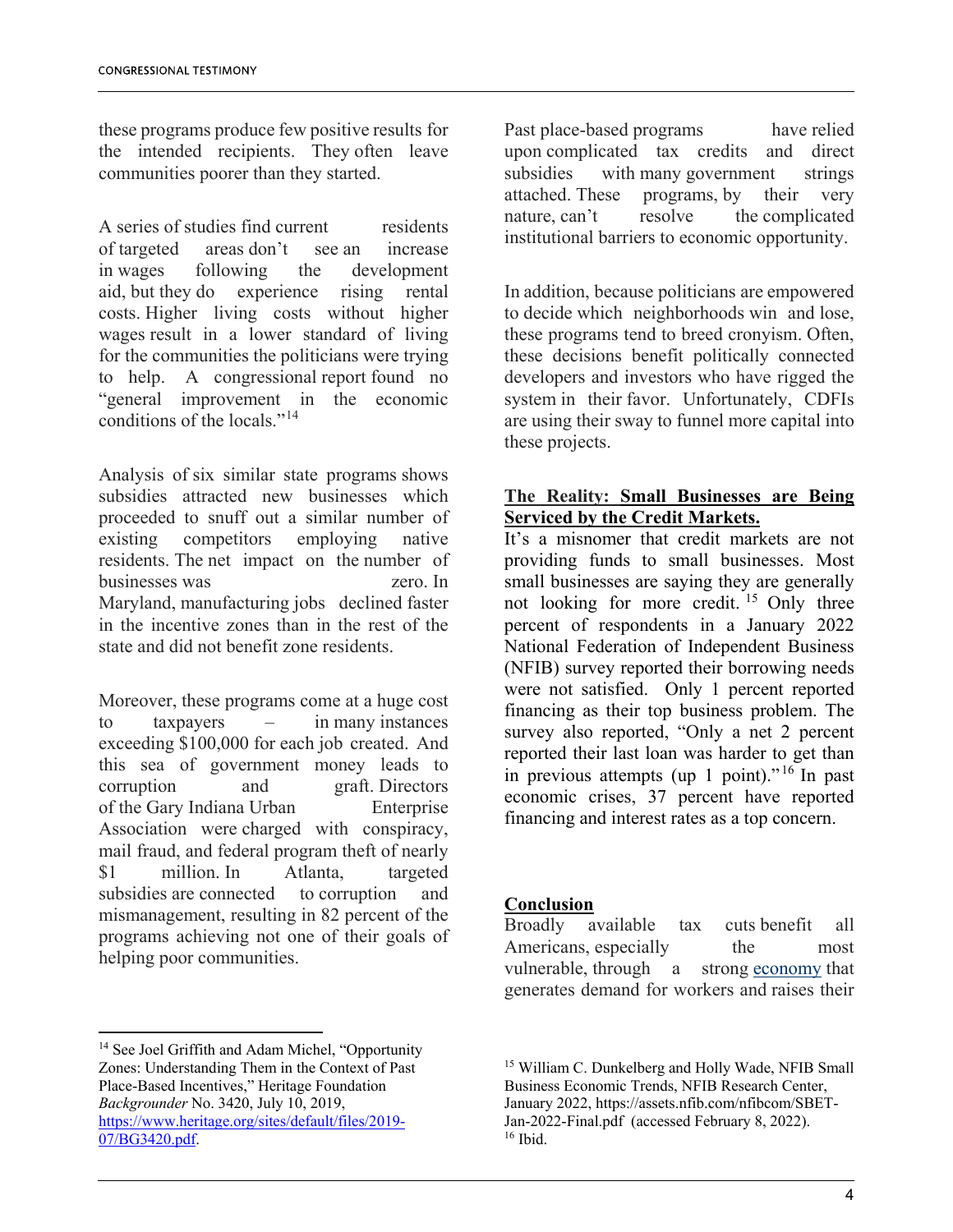these programs produce few positive results for the intended recipients. They often leave communities poorer than they started.

A series of studies find current residents of targeted areas don't see an increase in wages following the development aid, but they do experience rising rental costs. Higher living costs without higher wages result in a lower standard of living for the communities the politicians were trying to help. A congressional report found no "general improvement in the economic conditions of the locals."[14](#page-3-0)

Analysis of six similar state programs shows subsidies attracted new businesses which proceeded to snuff out a similar number of existing competitors employing native residents. The net impact on the number of businesses was zero. In Maryland, manufacturing jobs declined faster in the incentive zones than in the rest of the state and did not benefit zone residents.

Moreover, these programs come at a huge cost to taxpayers – in many instances exceeding \$100,000 for each job created. And this sea of government money leads to corruption and graft. Directors of the Gary Indiana Urban Enterprise Association were charged with conspiracy, mail fraud, and federal program theft of nearly \$1 million. In Atlanta, targeted subsidies are connected to corruption and mismanagement, resulting in 82 percent of the programs achieving not one of their goals of helping poor communities.

<span id="page-3-2"></span><span id="page-3-1"></span><span id="page-3-0"></span><sup>14</sup> See Joel Griffith and Adam Michel, "Opportunity Zones: Understanding Them in the Context of Past Place-Based Incentives," Heritage Foundation *Backgrounder* No. 3420, July 10, 2019, [https://www.heritage.org/sites/default/files/2019-](https://www.heritage.org/sites/default/files/2019-07/BG3420.pdf) [07/BG3420.pdf.](https://www.heritage.org/sites/default/files/2019-07/BG3420.pdf)

Past place-based programs have relied upon complicated tax credits and direct subsidies with many government strings attached. These programs, by their very nature, can't resolve the complicated institutional barriers to economic opportunity.

In addition, because politicians are empowered to decide which neighborhoods win and lose, these programs tend to breed cronyism. Often, these decisions benefit politically connected developers and investors who have rigged the system in their favor. Unfortunately, CDFIs are using their sway to funnel more capital into these projects.

# **The Reality: Small Businesses are Being Serviced by the Credit Markets.**

It's a misnomer that credit markets are not providing funds to small businesses. Most small businesses are saying they are generally not looking for more credit.<sup>[15](#page-3-1)</sup> Only three percent of respondents in a January 2022 National Federation of Independent Business (NFIB) survey reported their borrowing needs were not satisfied. Only 1 percent reported financing as their top business problem. The survey also reported, "Only a net 2 percent reported their last loan was harder to get than in previous attempts (up 1 point)."<sup>[16](#page-3-2)</sup> In past economic crises, 37 percent have reported financing and interest rates as a top concern.

### **Conclusion**

Broadly available tax cuts benefit all Americans, especially the most vulnerable, through a strong [economy](https://www.foxnews.com/category/us/economy) that generates demand for workers and raises their

<sup>&</sup>lt;sup>15</sup> William C. Dunkelberg and Holly Wade, NFIB Small Business Economic Trends, NFIB Research Center, January 2022, https://assets.nfib.com/nfibcom/SBET-Jan-2022-Final.pdf (accessed February 8, 2022). 16 Ibid.